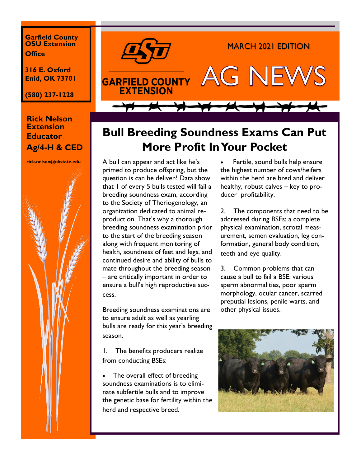**Garfield County OSU Extension Office**

**316 E. Oxford Enid, OK 73701**

**(580) 237-1228**

## **Rick Nelson Extension Educator Ag/4-H & CED**





## **Bull Breeding Soundness Exams Can Put More Profit In Your Pocket**

A bull can appear and act like he's primed to produce offspring, but the question is can he deliver? Data show that 1 of every 5 bulls tested will fail a breeding soundness exam, according to the Society of Theriogenology, an organization dedicated to animal reproduction. That's why a thorough breeding soundness examination prior to the start of the breeding season – along with frequent monitoring of health, soundness of feet and legs, and continued desire and ability of bulls to mate throughout the breeding season – are critically important in order to ensure a bull's high reproductive success.

Breeding soundness examinations are to ensure adult as well as yearling bulls are ready for this year's breeding season.

1. The benefits producers realize from conducting BSEs:

The overall effect of breeding soundness examinations is to eliminate subfertile bulls and to improve the genetic base for fertility within the herd and respective breed.

Fertile, sound bulls help ensure the highest number of cows/heifers within the herd are bred and deliver healthy, robust calves – key to producer profitability.

2. The components that need to be addressed during BSEs: a complete physical examination, scrotal measurement, semen evaluation, leg conformation, general body condition, teeth and eye quality.

3. Common problems that can cause a bull to fail a BSE: various sperm abnormalities, poor sperm morphology, ocular cancer, scarred preputial lesions, penile warts, and other physical issues.

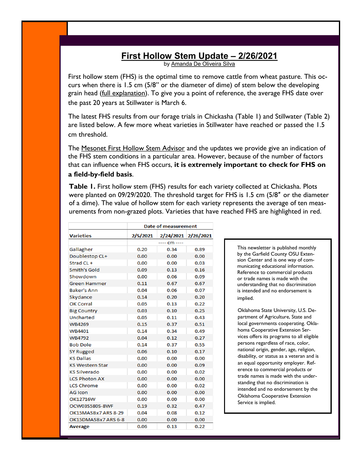## **[First Hollow Stem Update –](https://nam04.safelinks.protection.outlook.com/?url=http%3A%2F%2Fosuwheat.com%2F2021%2F02%2F26%2Ffirst-hollow-stem-update-2-26-2021%2F&data=04%7C01%7Crick.nelson%40okstate.edu%7C00b517c7777a45d5fe5408d8daab79a3%7C2a69c91de8494e34a230cdf8b27e1964%7C0%7C0%7C637) 2/26/2021**

by [Amanda De Oliveira Silva](https://nam04.safelinks.protection.outlook.com/?url=http%3A%2F%2Fosuwheat.com%2Fauthor%2Fadeoliveosu%2F&data=04%7C01%7Crick.nelson%40okstate.edu%7C00b517c7777a45d5fe5408d8daab79a3%7C2a69c91de8494e34a230cdf8b27e1964%7C0%7C0%7C637499777301492404%7CUnknown%7CTWF)

First hollow stem (FHS) is the optimal time to remove cattle from wheat pasture. This occurs when there is 1.5 cm (5/8" or the diameter of dime) of stem below the developing grain head ([full explanation\)](https://nam04.safelinks.protection.outlook.com/?url=http%3A%2F%2Ffactsheets.okstate.edu%2Fdocuments%2Fpss-2147-first-hollow-stem-a-critical-wheat-growth-stage-for-dual-purpose-producers%2F&data=04%7C01%7Crick.nelson%40okstate.edu%7C00b517c7777a45d5fe5408d8daa). To give you a point of reference, the average FHS date over the past 20 years at Stillwater is March 6.

The latest FHS results from our forage trials in Chickasha (Table 1) and Stillwater (Table 2) are listed below. A few more wheat varieties in Stillwater have reached or passed the 1.5 cm threshold.

The [Mesonet First Hollow Stem Advisor](https://nam04.safelinks.protection.outlook.com/?url=https%3A%2F%2Fwww.mesonet.org%2Findex.php%2Fagriculture%2Fcategory%2Fcrop%2Fwheat%2Fhollow_stem_advisor&data=04%7C01%7Crick.nelson%40okstate.edu%7C00b517c7777a45d5fe5408d8daab79a3%7C2a69c91de8494e34a230cdf8b) and the updates we provide give an indication of the FHS stem conditions in a particular area. However, because of the number of factors that can influence when FHS occurs, **it is extremely important to check for FHS on a field-by-field basis**.

**Table 1.** First hollow stem (FHS) results for each variety collected at Chickasha. Plots were planted on 09/29/2020. The threshold target for FHS is 1.5 cm (5/8″ or the diameter of a dime). The value of hollow stem for each variety represents the average of ten measurements from non-grazed plots. Varieties that have reached FHS are highlighted in red.

| <b>Varieties</b>       | <b>Date of measurement</b> |                     |      |
|------------------------|----------------------------|---------------------|------|
|                        | 2/5/2021                   | 2/24/2021 2/26/2021 |      |
|                        | ---- cm ----               |                     |      |
| Gallagher              | 0.20                       | 0.34                | 0.89 |
| Doublestop CL+         | 0.00                       | 0.00                | 0.00 |
| Strad CL +             | 0.00                       | 0.00                | 0.03 |
| <b>Smith's Gold</b>    | 0.09                       | 0.13                | 0.16 |
| Showdown               | 0.00                       | 0.06                | 0.09 |
| <b>Green Hammer</b>    | 0.11                       | 0.67                | 0.67 |
| <b>Baker's Ann</b>     | 0.04                       | 0.06                | 0.07 |
| Skydance               | 0.14                       | 0.20                | 0.20 |
| <b>OK Corral</b>       | 0.05                       | 0.13                | 0.22 |
| <b>Big Country</b>     | 0.03                       | 0.10                | 0.25 |
| <b>Uncharted</b>       | 0.05                       | 0.11                | 0.43 |
| <b>WB4269</b>          | 0.15                       | 0.37                | 0.51 |
| WB4401                 | 0.14                       | 0.34                | 0.49 |
| <b>WB4792</b>          | 0.04                       | 0.12                | 0.27 |
| <b>Bob Dole</b>        | 0.14                       | 0.37                | 0.55 |
| <b>SY Rugged</b>       | 0.06                       | 0.10                | 0.17 |
| <b>KS Dallas</b>       | 0.00                       | 0.00                | 0.00 |
| <b>KS Western Star</b> | 0.00                       | 0.00                | 0.09 |
| <b>KS Silverado</b>    | 0.00                       | 0.00                | 0.02 |
| <b>LCS Photon AX</b>   | 0.00                       | 0.00                | 0.00 |
| <b>LCS Chrome</b>      | 0.00                       | 0.00                | 0.02 |
| <b>AG Icon</b>         | 0.00                       | 0.00                | 0.00 |
| OK12716W               | 0.00                       | 0.00                | 0.00 |
| OCW03S580S-8WF         | 0.19                       | 0.32                | 0.47 |
| OK15MASBx7 ARS 8-29    | 0.04                       | 0.08                | 0.12 |
| OK15DMASBx7 ARS 6-8    | 0.00                       | 0.00                | 0.00 |
| <b>Average</b>         | 0.06                       | 0.13                | 0.22 |

This newsletter is published monthly by the Garfield County OSU Extension Center and is one way of communicating educational information. Reference to commercial products or trade names is made with the understanding that no discrimination is intended and no endorsement is implied.

Oklahoma State University, U.S. Department of Agriculture, State and local governments cooperating. Oklahoma Cooperative Extension Services offers its programs to all eligible persons regardless of race, color, national origin, gender, age, religion, disability, or status as a veteran and is an equal opportunity employer. Reference to commercial products or trade names is made with the understanding that no discrimination is intended and no endorsement by the Oklahoma Cooperative Extension Service is implied.